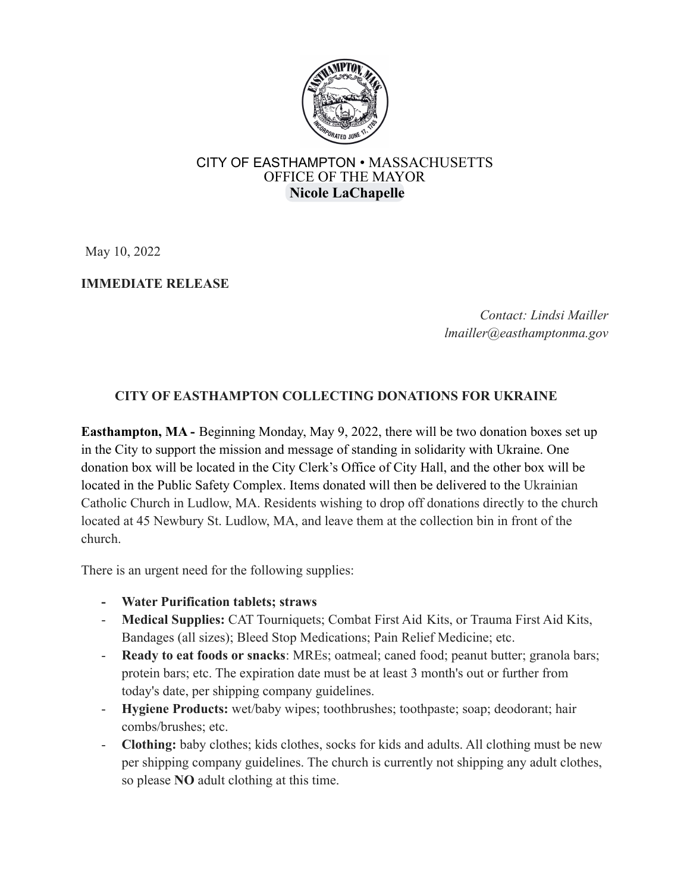

## CITY OF EASTHAMPTON • MASSACHUSETTS OFFICE OF THE MAYOR **Nicole [LaChapelle](mailto:nlachapelle@easthamptonma.gov)**

May 10, 2022

## **IMMEDIATE RELEASE**

*Contact: Lindsi Mailler lmailler@easthamptonma.gov*

## **CITY OF EASTHAMPTON COLLECTING DONATIONS FOR UKRAINE**

**Easthampton, MA -** Beginning Monday, May 9, 2022, there will be two donation boxes set up in the City to support the mission and message of standing in solidarity with Ukraine. One donation box will be located in the City Clerk's Office of City Hall, and the other box will be located in the Public Safety Complex. Items donated will then be delivered to the Ukrainian Catholic Church in Ludlow, MA. Residents wishing to drop off donations directly to the church located at 45 Newbury St. Ludlow, MA, and leave them at the collection bin in front of the church.

There is an urgent need for the following supplies:

- **- Water Purification tablets; straws**
- **Medical Supplies:** CAT Tourniquets; Combat First Aid Kits, or Trauma First Aid Kits, Bandages (all sizes); Bleed Stop Medications; Pain Relief Medicine; etc.
- **Ready to eat foods or snacks**: MREs; oatmeal; caned food; peanut butter; granola bars; protein bars; etc. The expiration date must be at least 3 month's out or further from today's date, per shipping company guidelines.
- **Hygiene Products:** wet/baby wipes; toothbrushes; toothpaste; soap; deodorant; hair combs/brushes; etc.
- **Clothing:** baby clothes; kids clothes, socks for kids and adults. All clothing must be new per shipping company guidelines. The church is currently not shipping any adult clothes, so please **NO** adult clothing at this time.